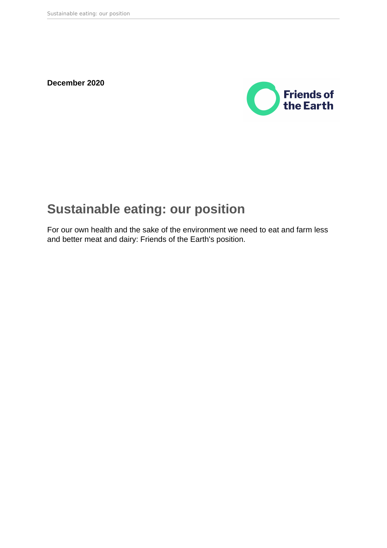**December 2020**



# **Sustainable eating: our position**

For our own health and the sake of the environment we need to eat and farm less and better meat and dairy: Friends of the Earth's position.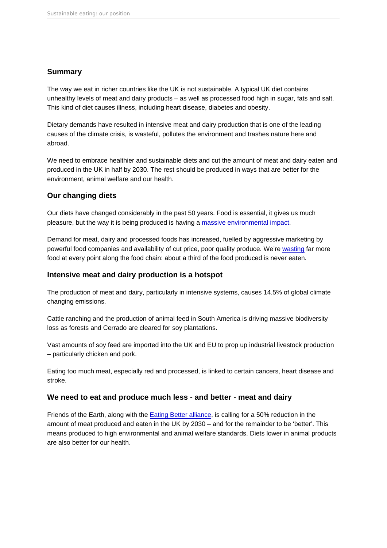## Summary

The way we eat in richer countries like the UK is not sustainable. A typical UK diet contains unhealthy levels of meat and dairy products – as well as processed food high in sugar, fats and salt. This kind of diet causes illness, including heart disease, diabetes and obesity.

Dietary demands have resulted in intensive meat and dairy production that is one of the leading causes of the climate crisis, is wasteful, pollutes the environment and trashes nature here and abroad.

We need to embrace healthier and sustainable diets and cut the amount of meat and dairy eaten and produced in the UK in half by 2030. The rest should be produced in ways that are better for the environment, animal welfare and our health.

# Our changing diets

Our diets have changed considerably in the past 50 years. Food is essential, it gives us much pleasure, but the way it is being produced is having a [massive environmental impact](https://friendsoftheearth.uk/food).

Demand for meat, dairy and processed foods has increased, fuelled by aggressive marketing by powerful food companies and availability of cut price, poor quality produce. We're [wasting](https://friendsoftheearth.uk/food-waste) far more food at every point along the food chain: about a third of the food produced is never eaten.

## Intensive meat and dairy production is a hotspot

The production of meat and dairy, particularly in intensive systems, causes 14.5% of global climate changing emissions.

Cattle ranching and the production of animal feed in South America is driving massive biodiversity loss as forests and Cerrado are cleared for soy plantations.

Vast amounts of soy feed are imported into the UK and EU to prop up industrial livestock production – particularly chicken and pork.

Eating too much meat, especially red and processed, is linked to certain cancers, heart disease and stroke.

## We need to eat and produce much less - and better - meat and dairy

Friends of the Earth, along with the [Eating Better alliance](https://www.eating-better.org/betterbyhalf), is calling for a 50% reduction in the amount of meat produced and eaten in the UK by 2030 – and for the remainder to be 'better'. This means produced to high environmental and animal welfare standards. Diets lower in animal products are also better for our health.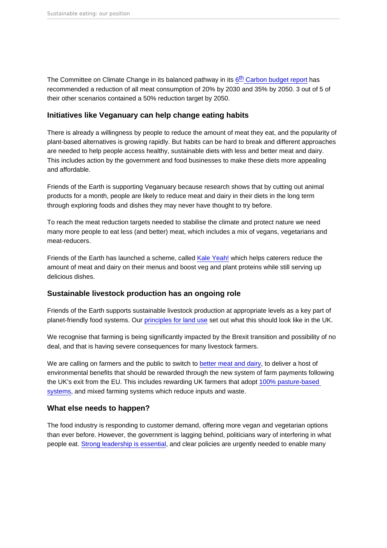The Committee on Climate Change in its balanced pa[th](https://www.theccc.org.uk/wp-content/uploads/2020/12/The-Sixth-Carbon-Budget-The-UKs-path-to-Net-Zero.pdf)way in its 6<sup>th</sup> [Carbon budget repo](https://www.theccc.org.uk/wp-content/uploads/2020/12/The-Sixth-Carbon-Budget-The-UKs-path-to-Net-Zero.pdf)rt has recommended a reduction of all meat consumption of 20% by 2030 and 35% by 2050. 3 out of 5 of their other scenarios contained a 50% reduction target by 2050.

### Initiatives like Veganuary can help change eating habits

There is already a willingness by people to reduce the amount of meat they eat, and the popularity of plant-based alternatives is growing rapidly. But habits can be hard to break and different approaches are needed to help people access healthy, sustainable diets with less and better meat and dairy. This includes action by the government and food businesses to make these diets more appealing and affordable.

Friends of the Earth is supporting Veganuary because research shows that by cutting out animal products for a month, people are likely to reduce meat and dairy in their diets in the long term through exploring foods and dishes they may never have thought to try before.

To reach the meat reduction targets needed to stabilise the climate and protect nature we need many more people to eat less (and better) meat, which includes a mix of vegans, vegetarians and meat-reducers.

Friends of the Earth has launched a scheme, called [Kale Yeah!](https://campaigning.friendsoftheearth.uk/kale-yeah/kale-yeah-caterers-sustainability-scheme) which helps caterers reduce the amount of meat and dairy on their menus and boost veg and plant proteins while still serving up delicious dishes.

#### Sustainable livestock production has an ongoing role

Friends of the Earth supports sustainable livestock production at appropriate levels as a key part of planet-friendly food systems. Our [principles for land use](https://policy.friendsoftheearth.uk/insight/nine-principles-using-our-land-wisely-time-climate-and-nature-crises) set out what this should look like in the UK.

We recognise that farming is being significantly impacted by the Brexit transition and possibility of no deal, and that is having severe consequences for many livestock farmers.

We are calling on farmers and the public to switch to [better meat and dairy,](https://friendsoftheearth.uk/sustainable-living/what-better-meat) to deliver a host of environmental benefits that should be rewarded through the new system of farm payments following the UK's exit from the EU. This includes rewarding UK farmers that adopt [100% pasture-based](https://www.pastureforlife.org/)  [systems](https://www.pastureforlife.org/), and mixed farming systems which reduce inputs and waste.

#### What else needs to happen?

The food industry is responding to customer demand, offering more vegan and vegetarian options than ever before. However, the government is lagging behind, politicians wary of interfering in what people eat. [Strong leadership is essential,](https://policy.friendsoftheearth.uk/opinion/government-has-key-role-shifting-us-green-lifestyles) and clear policies are urgently needed to enable many